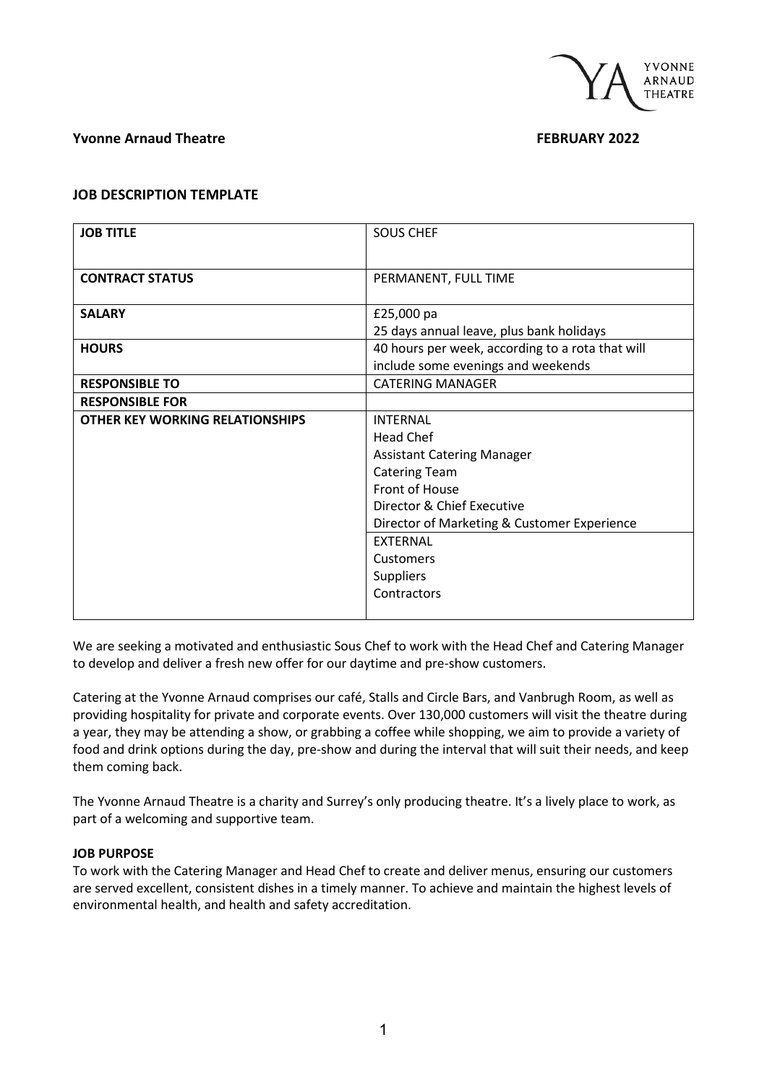

## **Yvonne Arnaud Theatre <b>FEBRUARY 2022**

### **JOB DESCRIPTION TEMPLATE**

| <b>JOB TITLE</b>                | <b>SOUS CHEF</b>                                 |
|---------------------------------|--------------------------------------------------|
|                                 |                                                  |
| <b>CONTRACT STATUS</b>          | PERMANENT, FULL TIME                             |
|                                 |                                                  |
| <b>SALARY</b>                   | £25,000 pa                                       |
|                                 | 25 days annual leave, plus bank holidays         |
| <b>HOURS</b>                    | 40 hours per week, according to a rota that will |
|                                 | include some evenings and weekends               |
| <b>RESPONSIBLE TO</b>           | <b>CATERING MANAGER</b>                          |
| <b>RESPONSIBLE FOR</b>          |                                                  |
| OTHER KEY WORKING RELATIONSHIPS | <b>INTERNAL</b>                                  |
|                                 | Head Chef                                        |
|                                 | <b>Assistant Catering Manager</b>                |
|                                 | <b>Catering Team</b>                             |
|                                 | Front of House                                   |
|                                 | Director & Chief Executive                       |
|                                 | Director of Marketing & Customer Experience      |
|                                 | <b>EXTERNAL</b>                                  |
|                                 | Customers                                        |
|                                 | <b>Suppliers</b>                                 |
|                                 | Contractors                                      |
|                                 |                                                  |

We are seeking a motivated and enthusiastic Sous Chef to work with the Head Chef and Catering Manager to develop and deliver a fresh new offer for our daytime and pre-show customers.

Catering at the Yvonne Arnaud comprises our café, Stalls and Circle Bars, and Vanbrugh Room, as well as providing hospitality for private and corporate events. Over 130,000 customers will visit the theatre during a year, they may be attending a show, or grabbing a coffee while shopping, we aim to provide a variety of food and drink options during the day, pre-show and during the interval that will suit their needs, and keep them coming back.

The Yvonne Arnaud Theatre is a charity and Surrey's only producing theatre. It's a lively place to work, as part of a welcoming and supportive team.

#### **JOB PURPOSE**

To work with the Catering Manager and Head Chef to create and deliver menus, ensuring our customers are served excellent, consistent dishes in a timely manner. To achieve and maintain the highest levels of environmental health, and health and safety accreditation.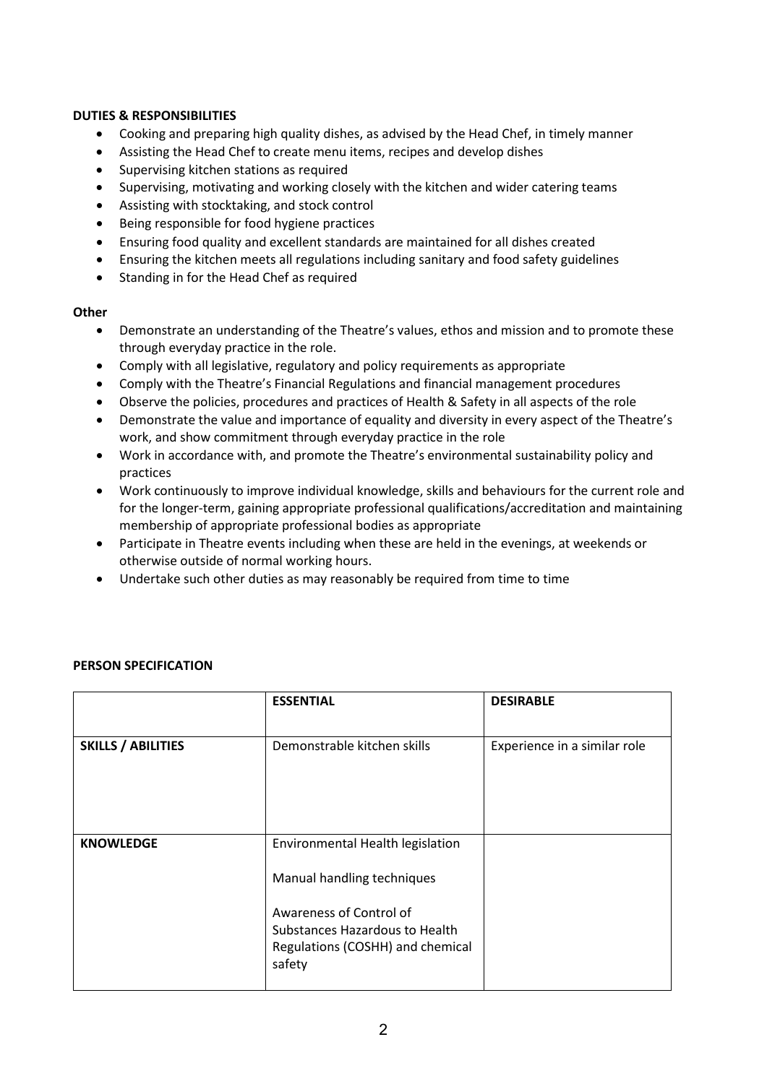## **DUTIES & RESPONSIBILITIES**

- Cooking and preparing high quality dishes, as advised by the Head Chef, in timely manner
- Assisting the Head Chef to create menu items, recipes and develop dishes
- Supervising kitchen stations as required
- Supervising, motivating and working closely with the kitchen and wider catering teams
- Assisting with stocktaking, and stock control
- Being responsible for food hygiene practices
- Ensuring food quality and excellent standards are maintained for all dishes created
- Ensuring the kitchen meets all regulations including sanitary and food safety guidelines
- Standing in for the Head Chef as required

#### **Other**

- Demonstrate an understanding of the Theatre's values, ethos and mission and to promote these through everyday practice in the role.
- Comply with all legislative, regulatory and policy requirements as appropriate
- Comply with the Theatre's Financial Regulations and financial management procedures
- Observe the policies, procedures and practices of Health & Safety in all aspects of the role
- Demonstrate the value and importance of equality and diversity in every aspect of the Theatre's work, and show commitment through everyday practice in the role
- Work in accordance with, and promote the Theatre's environmental sustainability policy and practices
- Work continuously to improve individual knowledge, skills and behaviours for the current role and for the longer-term, gaining appropriate professional qualifications/accreditation and maintaining membership of appropriate professional bodies as appropriate
- Participate in Theatre events including when these are held in the evenings, at weekends or otherwise outside of normal working hours.
- Undertake such other duties as may reasonably be required from time to time

|                           | <b>ESSENTIAL</b>                                                                                                                                                          | <b>DESIRABLE</b>             |
|---------------------------|---------------------------------------------------------------------------------------------------------------------------------------------------------------------------|------------------------------|
| <b>SKILLS / ABILITIES</b> | Demonstrable kitchen skills                                                                                                                                               | Experience in a similar role |
| <b>KNOWLEDGE</b>          | Environmental Health legislation<br>Manual handling techniques<br>Awareness of Control of<br>Substances Hazardous to Health<br>Regulations (COSHH) and chemical<br>safety |                              |

# **PERSON SPECIFICATION**